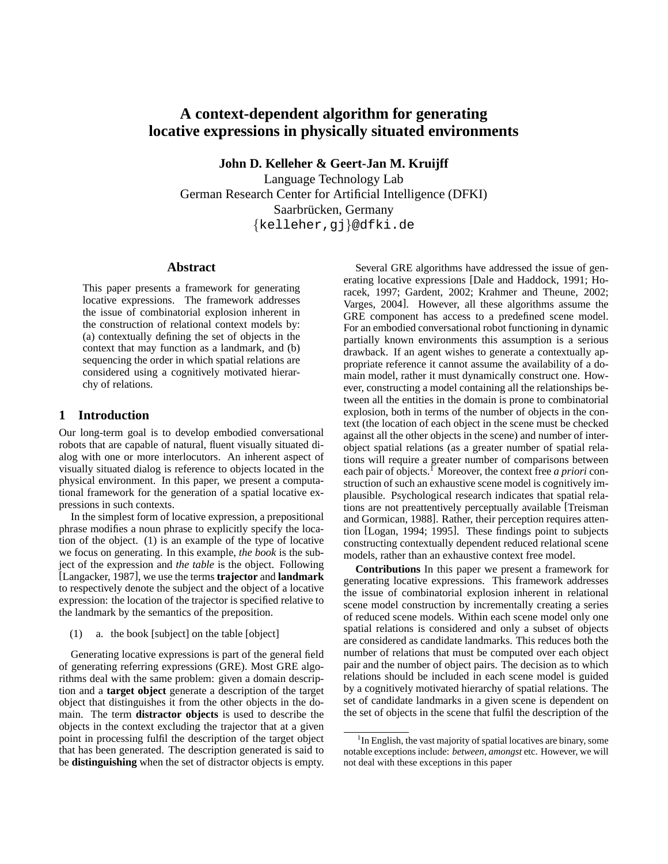# **A context-dependent algorithm for generating locative expressions in physically situated environments**

**John D. Kelleher & Geert-Jan M. Kruijff**

Language Technology Lab German Research Center for Artificial Intelligence (DFKI) Saarbrücken, Germany {kelleher,gj}@dfki.de

#### **Abstract**

This paper presents a framework for generating locative expressions. The framework addresses the issue of combinatorial explosion inherent in the construction of relational context models by: (a) contextually defining the set of objects in the context that may function as a landmark, and (b) sequencing the order in which spatial relations are considered using a cognitively motivated hierarchy of relations.

# **1 Introduction**

Our long-term goal is to develop embodied conversational robots that are capable of natural, fluent visually situated dialog with one or more interlocutors. An inherent aspect of visually situated dialog is reference to objects located in the physical environment. In this paper, we present a computational framework for the generation of a spatial locative expressions in such contexts.

In the simplest form of locative expression, a prepositional phrase modifies a noun phrase to explicitly specify the location of the object. (1) is an example of the type of locative we focus on generating. In this example, *the book* is the subject of the expression and *the table* is the object. Following [Langacker, 1987], we use the terms **trajector** and **landmark** to respectively denote the subject and the object of a locative expression: the location of the trajector is specified relative to the landmark by the semantics of the preposition.

(1) a. the book [subject] on the table [object]

Generating locative expressions is part of the general field of generating referring expressions (GRE). Most GRE algorithms deal with the same problem: given a domain description and a **target object** generate a description of the target object that distinguishes it from the other objects in the domain. The term **distractor objects** is used to describe the objects in the context excluding the trajector that at a given point in processing fulfil the description of the target object that has been generated. The description generated is said to be **distinguishing** when the set of distractor objects is empty.

Several GRE algorithms have addressed the issue of generating locative expressions [Dale and Haddock, 1991; Horacek, 1997; Gardent, 2002; Krahmer and Theune, 2002; Varges, 2004]. However, all these algorithms assume the GRE component has access to a predefined scene model. For an embodied conversational robot functioning in dynamic partially known environments this assumption is a serious drawback. If an agent wishes to generate a contextually appropriate reference it cannot assume the availability of a domain model, rather it must dynamically construct one. However, constructing a model containing all the relationships between all the entities in the domain is prone to combinatorial explosion, both in terms of the number of objects in the context (the location of each object in the scene must be checked against all the other objects in the scene) and number of interobject spatial relations (as a greater number of spatial relations will require a greater number of comparisons between each pair of objects.<sup>1</sup> Moreover, the context free *a priori* construction of such an exhaustive scene model is cognitively implausible. Psychological research indicates that spatial relations are not preattentively perceptually available [Treisman and Gormican, 1988]. Rather, their perception requires attention [Logan, 1994; 1995]. These findings point to subjects constructing contextually dependent reduced relational scene models, rather than an exhaustive context free model.

**Contributions** In this paper we present a framework for generating locative expressions. This framework addresses the issue of combinatorial explosion inherent in relational scene model construction by incrementally creating a series of reduced scene models. Within each scene model only one spatial relations is considered and only a subset of objects are considered as candidate landmarks. This reduces both the number of relations that must be computed over each object pair and the number of object pairs. The decision as to which relations should be included in each scene model is guided by a cognitively motivated hierarchy of spatial relations. The set of candidate landmarks in a given scene is dependent on the set of objects in the scene that fulfil the description of the

<sup>&</sup>lt;sup>1</sup>In English, the vast majority of spatial locatives are binary, some notable exceptions include: *between*, *amongst* etc. However, we will not deal with these exceptions in this paper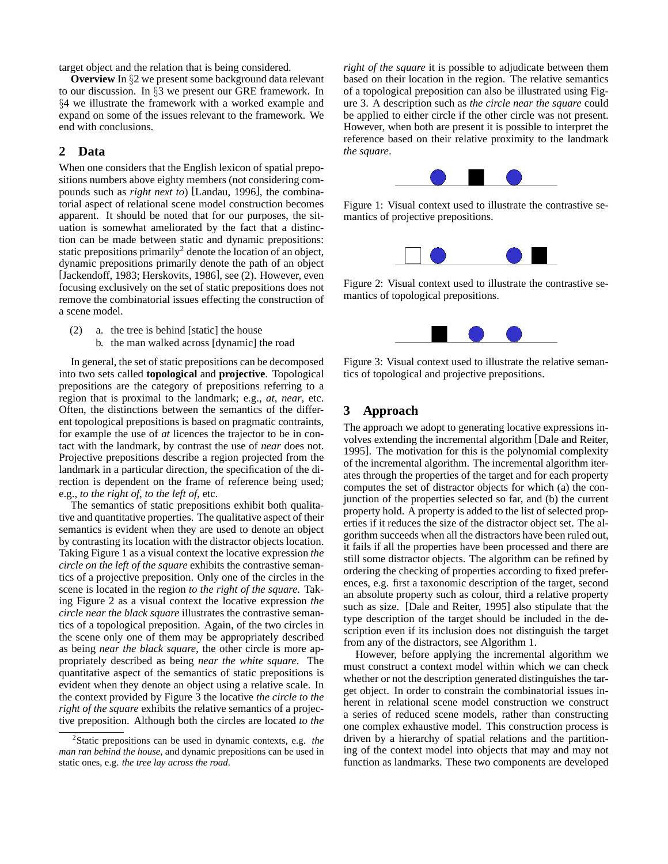target object and the relation that is being considered.

**Overview** In §2 we present some background data relevant to our discussion. In §3 we present our GRE framework. In §4 we illustrate the framework with a worked example and expand on some of the issues relevant to the framework. We end with conclusions.

# **2 Data**

When one considers that the English lexicon of spatial prepositions numbers above eighty members (not considering compounds such as *right next to*) [Landau, 1996], the combinatorial aspect of relational scene model construction becomes apparent. It should be noted that for our purposes, the situation is somewhat ameliorated by the fact that a distinction can be made between static and dynamic prepositions: static prepositions primarily<sup>2</sup> denote the location of an object, dynamic prepositions primarily denote the path of an object [Jackendoff, 1983; Herskovits, 1986], see (2). However, even focusing exclusively on the set of static prepositions does not remove the combinatorial issues effecting the construction of a scene model.

- (2) a. the tree is behind [static] the house
	- b. the man walked across [dynamic] the road

In general, the set of static prepositions can be decomposed into two sets called **topological** and **projective**. Topological prepositions are the category of prepositions referring to a region that is proximal to the landmark; e.g., *at*, *near*, etc. Often, the distinctions between the semantics of the different topological prepositions is based on pragmatic contraints, for example the use of *at* licences the trajector to be in contact with the landmark, by contrast the use of *near* does not. Projective prepositions describe a region projected from the landmark in a particular direction, the specification of the direction is dependent on the frame of reference being used; e.g., *to the right of*, *to the left of*, etc.

The semantics of static prepositions exhibit both qualitative and quantitative properties. The qualitative aspect of their semantics is evident when they are used to denote an object by contrasting its location with the distractor objects location. Taking Figure 1 as a visual context the locative expression *the circle on the left of the square* exhibits the contrastive semantics of a projective preposition. Only one of the circles in the scene is located in the region *to the right of the square*. Taking Figure 2 as a visual context the locative expression *the circle near the black square* illustrates the contrastive semantics of a topological preposition. Again, of the two circles in the scene only one of them may be appropriately described as being *near the black square*, the other circle is more appropriately described as being *near the white square*. The quantitative aspect of the semantics of static prepositions is evident when they denote an object using a relative scale. In the context provided by Figure 3 the locative *the circle to the right of the square* exhibits the relative semantics of a projective preposition. Although both the circles are located *to the* *right of the square* it is possible to adjudicate between them based on their location in the region. The relative semantics of a topological preposition can also be illustrated using Figure 3. A description such as *the circle near the square* could be applied to either circle if the other circle was not present. However, when both are present it is possible to interpret the reference based on their relative proximity to the landmark *the square*.



Figure 1: Visual context used to illustrate the contrastive semantics of projective prepositions.



Figure 2: Visual context used to illustrate the contrastive semantics of topological prepositions.



Figure 3: Visual context used to illustrate the relative semantics of topological and projective prepositions.

## **3 Approach**

The approach we adopt to generating locative expressions involves extending the incremental algorithm [Dale and Reiter, 1995]. The motivation for this is the polynomial complexity of the incremental algorithm. The incremental algorithm iterates through the properties of the target and for each property computes the set of distractor objects for which (a) the conjunction of the properties selected so far, and (b) the current property hold. A property is added to the list of selected properties if it reduces the size of the distractor object set. The algorithm succeeds when all the distractors have been ruled out, it fails if all the properties have been processed and there are still some distractor objects. The algorithm can be refined by ordering the checking of properties according to fixed preferences, e.g. first a taxonomic description of the target, second an absolute property such as colour, third a relative property such as size. [Dale and Reiter, 1995] also stipulate that the type description of the target should be included in the description even if its inclusion does not distinguish the target from any of the distractors, see Algorithm 1.

However, before applying the incremental algorithm we must construct a context model within which we can check whether or not the description generated distinguishes the target object. In order to constrain the combinatorial issues inherent in relational scene model construction we construct a series of reduced scene models, rather than constructing one complex exhaustive model. This construction process is driven by a hierarchy of spatial relations and the partitioning of the context model into objects that may and may not function as landmarks. These two components are developed

<sup>2</sup> Static prepositions can be used in dynamic contexts, e.g. *the man ran behind the house*, and dynamic prepositions can be used in static ones, e.g. *the tree lay across the road*.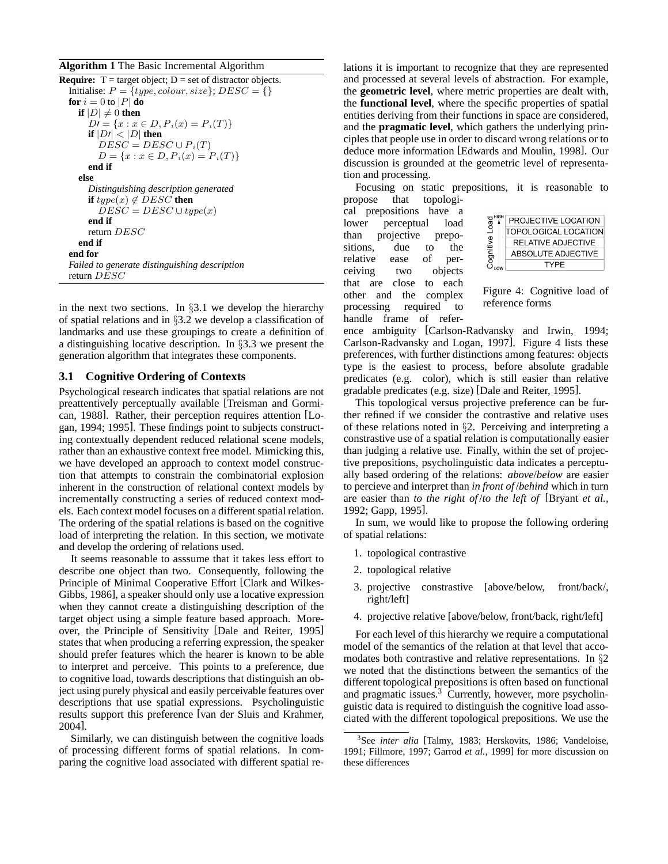**Algorithm 1** The Basic Incremental Algorithm

| <b>Require:</b> $T = \text{target object}$ ; $D = \text{set of distance objects}$ . |
|-------------------------------------------------------------------------------------|
| Initialise: $P = \{type, colour, size\}$ ; $DESC = \{\}$                            |
| <b>for</b> $i = 0$ to  P  <b>do</b>                                                 |
| if $ D  \neq 0$ then                                                                |
| $D' = \{x : x \in D, P_i(x) = P_i(T)\}\$                                            |
| if $ D  <  D $ then                                                                 |
| $DESC = DESC \cup P_i(T)$                                                           |
| $D = \{x : x \in D, P_i(x) = P_i(T)\}\$                                             |
| end if                                                                              |
| else                                                                                |
| Distinguishing description generated                                                |
| if $type(x) \notin DESC$ then                                                       |
| $DESC = DESC \cup type(x)$                                                          |
| end if                                                                              |
| return $DESC$                                                                       |
| end if                                                                              |
| end for                                                                             |
| Failed to generate distinguishing description                                       |
| return $DESC$                                                                       |
|                                                                                     |

in the next two sections. In  $\S 3.1$  we develop the hierarchy of spatial relations and in §3.2 we develop a classification of landmarks and use these groupings to create a definition of a distinguishing locative description. In §3.3 we present the generation algorithm that integrates these components.

#### **3.1 Cognitive Ordering of Contexts**

Psychological research indicates that spatial relations are not preattentively perceptually available [Treisman and Gormican, 1988]. Rather, their perception requires attention [Logan, 1994; 1995]. These findings point to subjects constructing contextually dependent reduced relational scene models, rather than an exhaustive context free model. Mimicking this, we have developed an approach to context model construction that attempts to constrain the combinatorial explosion inherent in the construction of relational context models by incrementally constructing a series of reduced context models. Each context model focuses on a different spatial relation. The ordering of the spatial relations is based on the cognitive load of interpreting the relation. In this section, we motivate and develop the ordering of relations used.

It seems reasonable to asssume that it takes less effort to describe one object than two. Consequently, following the Principle of Minimal Cooperative Effort [Clark and Wilkes-Gibbs, 1986], a speaker should only use a locative expression when they cannot create a distinguishing description of the target object using a simple feature based approach. Moreover, the Principle of Sensitivity [Dale and Reiter, 1995] states that when producing a referring expression, the speaker should prefer features which the hearer is known to be able to interpret and perceive. This points to a preference, due to cognitive load, towards descriptions that distinguish an object using purely physical and easily perceivable features over descriptions that use spatial expressions. Psycholinguistic results support this preference [van der Sluis and Krahmer, 2004].

Similarly, we can distinguish between the cognitive loads of processing different forms of spatial relations. In comparing the cognitive load associated with different spatial relations it is important to recognize that they are represented and processed at several levels of abstraction. For example, the **geometric level**, where metric properties are dealt with, the **functional level**, where the specific properties of spatial entities deriving from their functions in space are considered, and the **pragmatic level**, which gathers the underlying principles that people use in order to discard wrong relations or to deduce more information [Edwards and Moulin, 1998]. Our discussion is grounded at the geometric level of representation and processing.

Focusing on static prepositions, it is reasonable to

propose that topological prepositions have a lower perceptual load than projective prepositions, due to the relative ease of perceiving two objects that are close to each other and the complex processing required to handle frame of refer-

| ž<br><b>AAIIIINA</b> | PROJECTIVE LOCATION         |
|----------------------|-----------------------------|
|                      | <b>TOPOLOGICAL LOCATION</b> |
|                      | RELATIVE ADJECTIVE          |
|                      | ABSOLUTE ADJECTIVE          |
|                      | TYPF                        |
|                      |                             |

Figure 4: Cognitive load of reference forms

ence ambiguity [Carlson-Radvansky and Irwin, 1994; Carlson-Radvansky and Logan, 1997]. Figure 4 lists these preferences, with further distinctions among features: objects type is the easiest to process, before absolute gradable predicates (e.g. color), which is still easier than relative gradable predicates (e.g. size) [Dale and Reiter, 1995].

This topological versus projective preference can be further refined if we consider the contrastive and relative uses of these relations noted in §2. Perceiving and interpreting a constrastive use of a spatial relation is computationally easier than judging a relative use. Finally, within the set of projective prepositions, psycholinguistic data indicates a perceptually based ordering of the relations: *above*/*below* are easier to percieve and interpret than *in front of* /*behind* which in turn are easier than *to the right of* /*to the left of* [Bryant *et al.*, 1992; Gapp, 1995].

In sum, we would like to propose the following ordering of spatial relations:

- 1. topological contrastive
- 2. topological relative
- 3. projective constrastive [above/below, front/back/, right/left]
- 4. projective relative [above/below, front/back, right/left]

For each level of this hierarchy we require a computational model of the semantics of the relation at that level that accomodates both contrastive and relative representations. In §2 we noted that the distinctions between the semantics of the different topological prepositions is often based on functional and pragmatic issues.<sup>3</sup> Currently, however, more psycholinguistic data is required to distinguish the cognitive load associated with the different topological prepositions. We use the

<sup>3</sup> See *inter alia* [Talmy, 1983; Herskovits, 1986; Vandeloise, 1991; Fillmore, 1997; Garrod *et al.*, 1999] for more discussion on these differences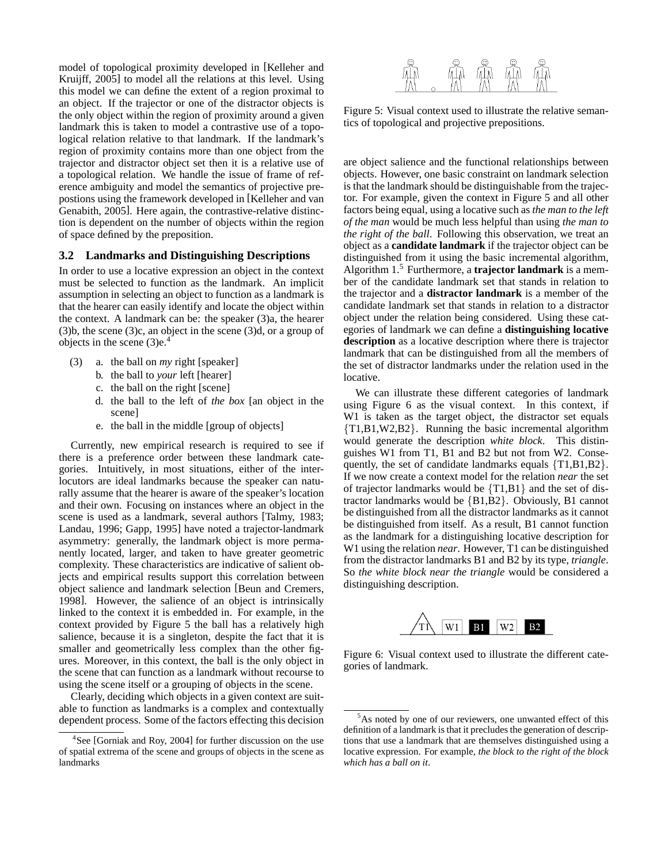model of topological proximity developed in [Kelleher and Kruijff, 2005] to model all the relations at this level. Using this model we can define the extent of a region proximal to an object. If the trajector or one of the distractor objects is the only object within the region of proximity around a given landmark this is taken to model a contrastive use of a topological relation relative to that landmark. If the landmark's region of proximity contains more than one object from the trajector and distractor object set then it is a relative use of a topological relation. We handle the issue of frame of reference ambiguity and model the semantics of projective prepostions using the framework developed in [Kelleher and van Genabith, 2005]. Here again, the contrastive-relative distinction is dependent on the number of objects within the region of space defined by the preposition.

#### **3.2 Landmarks and Distinguishing Descriptions**

In order to use a locative expression an object in the context must be selected to function as the landmark. An implicit assumption in selecting an object to function as a landmark is that the hearer can easily identify and locate the object within the context. A landmark can be: the speaker (3)a, the hearer (3)b, the scene (3)c, an object in the scene (3)d, or a group of objects in the scene  $(3)e<sup>4</sup>$ 

- (3) a. the ball on *my* right [speaker]
	- b. the ball to *your* left [hearer]
	- c. the ball on the right [scene]
	- d. the ball to the left of *the box* [an object in the scene]
	- e. the ball in the middle [group of objects]

Currently, new empirical research is required to see if there is a preference order between these landmark categories. Intuitively, in most situations, either of the interlocutors are ideal landmarks because the speaker can naturally assume that the hearer is aware of the speaker's location and their own. Focusing on instances where an object in the scene is used as a landmark, several authors [Talmy, 1983; Landau, 1996; Gapp, 1995] have noted a trajector-landmark asymmetry: generally, the landmark object is more permanently located, larger, and taken to have greater geometric complexity. These characteristics are indicative of salient objects and empirical results support this correlation between object salience and landmark selection [Beun and Cremers, 1998]. However, the salience of an object is intrinsically linked to the context it is embedded in. For example, in the context provided by Figure 5 the ball has a relatively high salience, because it is a singleton, despite the fact that it is smaller and geometrically less complex than the other figures. Moreover, in this context, the ball is the only object in the scene that can function as a landmark without recourse to using the scene itself or a grouping of objects in the scene.

Clearly, deciding which objects in a given context are suitable to function as landmarks is a complex and contextually dependent process. Some of the factors effecting this decision



Figure 5: Visual context used to illustrate the relative semantics of topological and projective prepositions.

are object salience and the functional relationships between objects. However, one basic constraint on landmark selection is that the landmark should be distinguishable from the trajector. For example, given the context in Figure 5 and all other factors being equal, using a locative such as *the man to the left of the man* would be much less helpful than using *the man to the right of the ball*. Following this observation, we treat an object as a **candidate landmark** if the trajector object can be distinguished from it using the basic incremental algorithm, Algorithm 1.<sup>5</sup> Furthermore, a **trajector landmark** is a member of the candidate landmark set that stands in relation to the trajector and a **distractor landmark** is a member of the candidate landmark set that stands in relation to a distractor object under the relation being considered. Using these categories of landmark we can define a **distinguishing locative description** as a locative description where there is trajector landmark that can be distinguished from all the members of the set of distractor landmarks under the relation used in the locative.

We can illustrate these different categories of landmark using Figure 6 as the visual context. In this context, if W1 is taken as the target object, the distractor set equals {T1,B1,W2,B2}. Running the basic incremental algorithm would generate the description *white block*. This distinguishes W1 from T1, B1 and B2 but not from W2. Consequently, the set of candidate landmarks equals {T1,B1,B2}. If we now create a context model for the relation *near* the set of trajector landmarks would be  $\{T1,B1\}$  and the set of distractor landmarks would be {B1,B2}. Obviously, B1 cannot be distinguished from all the distractor landmarks as it cannot be distinguished from itself. As a result, B1 cannot function as the landmark for a distinguishing locative description for W1 using the relation *near*. However, T1 can be distinguished from the distractor landmarks B1 and B2 by its type, *triangle*. So *the white block near the triangle* would be considered a distinguishing description.



Figure 6: Visual context used to illustrate the different categories of landmark.

<sup>4</sup> See [Gorniak and Roy, 2004] for further discussion on the use of spatial extrema of the scene and groups of objects in the scene as landmarks

<sup>5</sup>As noted by one of our reviewers, one unwanted effect of this definition of a landmark is that it precludes the generation of descriptions that use a landmark that are themselves distinguished using a locative expression. For example, *the block to the right of the block which has a ball on it*.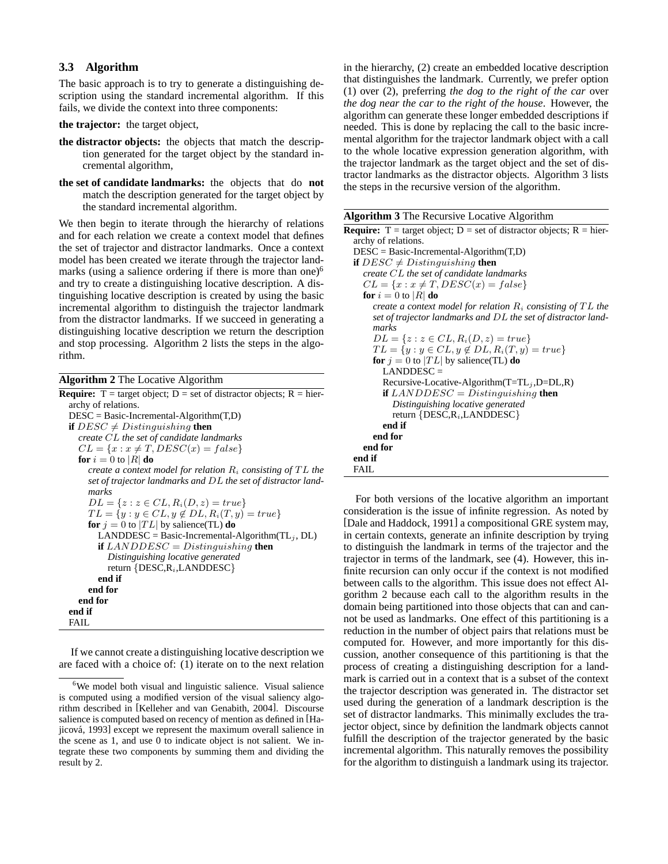# **3.3 Algorithm**

The basic approach is to try to generate a distinguishing description using the standard incremental algorithm. If this fails, we divide the context into three components:

**the trajector:** the target object,

- **the distractor objects:** the objects that match the description generated for the target object by the standard incremental algorithm,
- **the set of candidate landmarks:** the objects that do **not** match the description generated for the target object by the standard incremental algorithm.

We then begin to iterate through the hierarchy of relations and for each relation we create a context model that defines the set of trajector and distractor landmarks. Once a context model has been created we iterate through the trajector landmarks (using a salience ordering if there is more than one) $<sup>6</sup>$ </sup> and try to create a distinguishing locative description. A distinguishing locative description is created by using the basic incremental algorithm to distinguish the trajector landmark from the distractor landmarks. If we succeed in generating a distinguishing locative description we return the description and stop processing. Algorithm 2 lists the steps in the algorithm.

| <b>Algorithm 2</b> The Locative Algorithm                                   |
|-----------------------------------------------------------------------------|
| <b>Require:</b> T = target object; D = set of distractor objects; R = hier- |
| archy of relations.                                                         |
| $DESC = Basic-Incremental-Algorithms(T,D)$                                  |
| <b>if</b> $DESC \neq Distinguishing$ then                                   |
| create $CL$ the set of candidate landmarks                                  |
| $CL = \{x : x \neq T, DESC(x) = false\}$                                    |
| <b>for</b> $i = 0$ to  R  <b>do</b>                                         |
| create a context model for relation $R_i$ consisting of TL the              |
| set of trajector landmarks and DL the set of distractor land-               |
| marks                                                                       |
| $DL = \{z : z \in CL, R_i(D, z) = true\}$                                   |
| $TL = \{y : y \in CL, y \notin DL, R_i(T, y) = true\}$                      |
| <b>for</b> $j = 0$ to $ TL $ by salience(TL) <b>do</b>                      |
| LANDDESC = Basic-Incremental-Algorithm(TL <sub>i</sub> , DL)                |
| <b>if</b> LANDDESC = Distinguishing <b>then</b>                             |
| Distinguishing locative generated                                           |
| return $\{DESC, R_i, LANDDESC\}$                                            |
| end if                                                                      |
| end for                                                                     |
| end for                                                                     |
| end if                                                                      |
| FAIL                                                                        |

If we cannot create a distinguishing locative description we are faced with a choice of: (1) iterate on to the next relation in the hierarchy, (2) create an embedded locative description that distinguishes the landmark. Currently, we prefer option (1) over (2), preferring *the dog to the right of the car* over *the dog near the car to the right of the house*. However, the algorithm can generate these longer embedded descriptions if needed. This is done by replacing the call to the basic incremental algorithm for the trajector landmark object with a call to the whole locative expression generation algorithm, with the trajector landmark as the target object and the set of distractor landmarks as the distractor objects. Algorithm 3 lists the steps in the recursive version of the algorithm.

|  |  | <b>Algorithm 3</b> The Recursive Locative Algorithm |
|--|--|-----------------------------------------------------|
|  |  |                                                     |

| <b>Require:</b> T = target object; D = set of distractor objects; R = hier- |
|-----------------------------------------------------------------------------|
| archy of relations.                                                         |
| $DESC = Basic-Incremental-Algorithms(T,D)$                                  |
| <b>if</b> $DESC \neq Distinguishing$ then                                   |
| create $CL$ the set of candidate landmarks                                  |
| $CL = \{x : x \neq T, DESC(x) = false\}$                                    |
| <b>for</b> $i = 0$ to  R  <b>do</b>                                         |
| create a context model for relation $R_i$ consisting of TL the              |
| set of trajector landmarks and DL the set of distractor land-               |
| marks                                                                       |
| $DL = \{z : z \in CL, R_i(D, z) = true\}$                                   |
| $TL = \{y : y \in CL, y \notin DL, R_i(T, y) = true\}$                      |
| <b>for</b> $j = 0$ to $ TL $ by salience(TL) <b>do</b>                      |
| $LANDDESC =$                                                                |
| Recursive-Locative-Algorithm $(T=TL_i, D=DL, R)$                            |
| <b>if</b> LANDDESC = Distinguishing <b>then</b>                             |
| Distinguishing locative generated                                           |
| return $\{DESC, R_i, LANDDESC\}$                                            |
| end if                                                                      |
| end for                                                                     |
| end for                                                                     |
| end if                                                                      |
| FAIL                                                                        |

For both versions of the locative algorithm an important consideration is the issue of infinite regression. As noted by [Dale and Haddock, 1991] a compositional GRE system may, in certain contexts, generate an infinite description by trying to distinguish the landmark in terms of the trajector and the trajector in terms of the landmark, see (4). However, this infinite recursion can only occur if the context is not modified between calls to the algorithm. This issue does not effect Algorithm 2 because each call to the algorithm results in the domain being partitioned into those objects that can and cannot be used as landmarks. One effect of this partitioning is a reduction in the number of object pairs that relations must be computed for. However, and more importantly for this discussion, another consequence of this partitioning is that the process of creating a distinguishing description for a landmark is carried out in a context that is a subset of the context the trajector description was generated in. The distractor set used during the generation of a landmark description is the set of distractor landmarks. This minimally excludes the trajector object, since by definition the landmark objects cannot fulfill the description of the trajector generated by the basic incremental algorithm. This naturally removes the possibility for the algorithm to distinguish a landmark using its trajector.

<sup>&</sup>lt;sup>6</sup>We model both visual and linguistic salience. Visual salience is computed using a modified version of the visual saliency algorithm described in [Kelleher and van Genabith, 2004]. Discourse salience is computed based on recency of mention as defined in [Hajicová, 1993] except we represent the maximum overall salience in the scene as 1, and use 0 to indicate object is not salient. We integrate these two components by summing them and dividing the result by 2.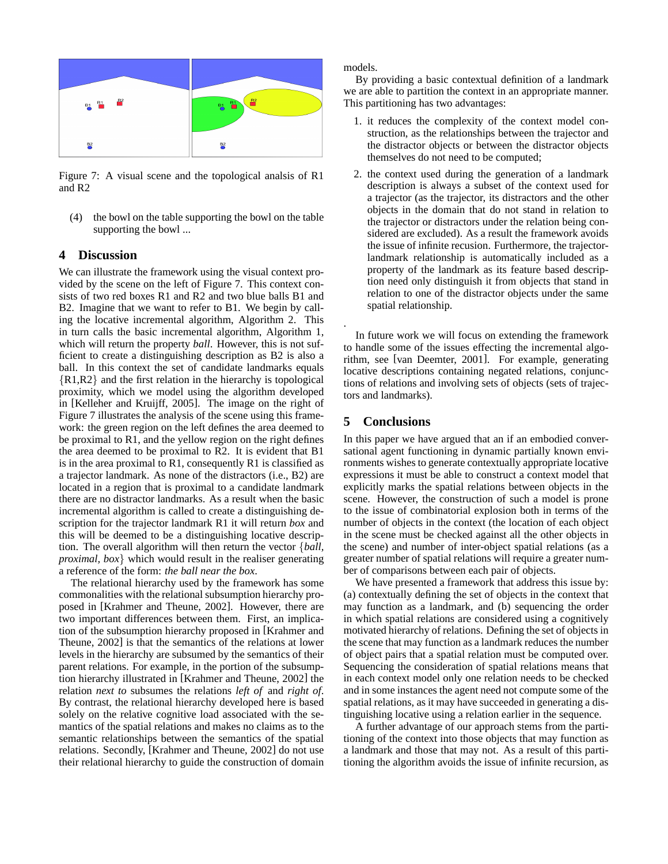

Figure 7: A visual scene and the topological analsis of R1 and R2

(4) the bowl on the table supporting the bowl on the table supporting the bowl ...

#### **4 Discussion**

We can illustrate the framework using the visual context provided by the scene on the left of Figure 7. This context consists of two red boxes R1 and R2 and two blue balls B1 and B2. Imagine that we want to refer to B1. We begin by calling the locative incremental algorithm, Algorithm 2. This in turn calls the basic incremental algorithm, Algorithm 1, which will return the property *ball*. However, this is not sufficient to create a distinguishing description as B2 is also a ball. In this context the set of candidate landmarks equals {R1,R2} and the first relation in the hierarchy is topological proximity, which we model using the algorithm developed in [Kelleher and Kruijff, 2005]. The image on the right of Figure 7 illustrates the analysis of the scene using this framework: the green region on the left defines the area deemed to be proximal to R1, and the yellow region on the right defines the area deemed to be proximal to R2. It is evident that B1 is in the area proximal to R1, consequently R1 is classified as a trajector landmark. As none of the distractors (i.e., B2) are located in a region that is proximal to a candidate landmark there are no distractor landmarks. As a result when the basic incremental algorithm is called to create a distinguishing description for the trajector landmark R1 it will return *box* and this will be deemed to be a distinguishing locative description. The overall algorithm will then return the vector {*ball, proximal, box*} which would result in the realiser generating a reference of the form: *the ball near the box*.

The relational hierarchy used by the framework has some commonalities with the relational subsumption hierarchy proposed in [Krahmer and Theune, 2002]. However, there are two important differences between them. First, an implication of the subsumption hierarchy proposed in [Krahmer and Theune, 2002] is that the semantics of the relations at lower levels in the hierarchy are subsumed by the semantics of their parent relations. For example, in the portion of the subsumption hierarchy illustrated in [Krahmer and Theune, 2002] the relation *next to* subsumes the relations *left of* and *right of*. By contrast, the relational hierarchy developed here is based solely on the relative cognitive load associated with the semantics of the spatial relations and makes no claims as to the semantic relationships between the semantics of the spatial relations. Secondly, [Krahmer and Theune, 2002] do not use their relational hierarchy to guide the construction of domain models.

By providing a basic contextual definition of a landmark we are able to partition the context in an appropriate manner. This partitioning has two advantages:

- 1. it reduces the complexity of the context model construction, as the relationships between the trajector and the distractor objects or between the distractor objects themselves do not need to be computed;
- 2. the context used during the generation of a landmark description is always a subset of the context used for a trajector (as the trajector, its distractors and the other objects in the domain that do not stand in relation to the trajector or distractors under the relation being considered are excluded). As a result the framework avoids the issue of infinite recusion. Furthermore, the trajectorlandmark relationship is automatically included as a property of the landmark as its feature based description need only distinguish it from objects that stand in relation to one of the distractor objects under the same spatial relationship.

In future work we will focus on extending the framework to handle some of the issues effecting the incremental algorithm, see [van Deemter, 2001]. For example, generating locative descriptions containing negated relations, conjunctions of relations and involving sets of objects (sets of trajectors and landmarks).

# **5 Conclusions**

.

In this paper we have argued that an if an embodied conversational agent functioning in dynamic partially known environments wishes to generate contextually appropriate locative expressions it must be able to construct a context model that explicitly marks the spatial relations between objects in the scene. However, the construction of such a model is prone to the issue of combinatorial explosion both in terms of the number of objects in the context (the location of each object in the scene must be checked against all the other objects in the scene) and number of inter-object spatial relations (as a greater number of spatial relations will require a greater number of comparisons between each pair of objects.

We have presented a framework that address this issue by: (a) contextually defining the set of objects in the context that may function as a landmark, and (b) sequencing the order in which spatial relations are considered using a cognitively motivated hierarchy of relations. Defining the set of objects in the scene that may function as a landmark reduces the number of object pairs that a spatial relation must be computed over. Sequencing the consideration of spatial relations means that in each context model only one relation needs to be checked and in some instances the agent need not compute some of the spatial relations, as it may have succeeded in generating a distinguishing locative using a relation earlier in the sequence.

A further advantage of our approach stems from the partitioning of the context into those objects that may function as a landmark and those that may not. As a result of this partitioning the algorithm avoids the issue of infinite recursion, as